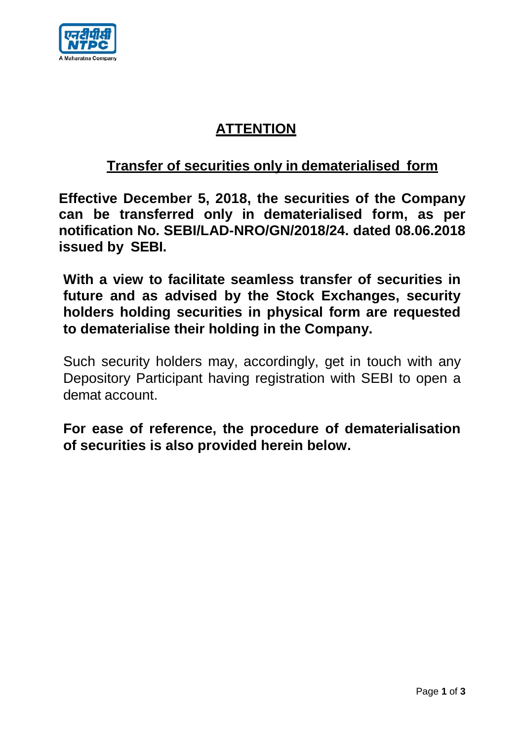

## **ATTENTION**

## **Transfer of securities only in dematerialised form**

**Effective December 5, 2018, the securities of the Company can be transferred only in dematerialised form, as per notification No. SEBI/LAD-NRO/GN/2018/24. dated 08.06.2018 issued by SEBI.**

**With a view to facilitate seamless transfer of securities in future and as advised by the Stock Exchanges, security holders holding securities in physical form are requested to dematerialise their holding in the Company.**

Such security holders may, accordingly, get in touch with any Depository Participant having registration with SEBI to open a demat account.

**For ease of reference, the procedure of dematerialisation of securities is also provided herein below.**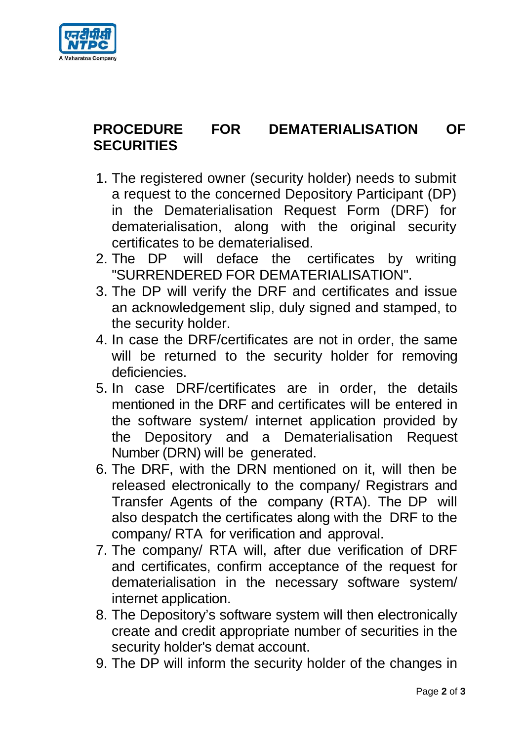

## **PROCEDURE FOR DEMATERIALISATION OF SECURITIES**

- 1. The registered owner (security holder) needs to submit a request to the concerned Depository Participant (DP) in the Dematerialisation Request Form (DRF) for dematerialisation, along with the original security certificates to be dematerialised.
- 2. The DP will deface the certificates by writing "SURRENDERED FOR DEMATERIALISATION".
- 3. The DP will verify the DRF and certificates and issue an acknowledgement slip, duly signed and stamped, to the security holder.
- 4. In case the DRF/certificates are not in order, the same will be returned to the security holder for removing deficiencies.
- 5. In case DRF/certificates are in order, the details mentioned in the DRF and certificates will be entered in the software system/ internet application provided by the Depository and a Dematerialisation Request Number (DRN) will be generated.
- 6. The DRF, with the DRN mentioned on it, will then be released electronically to the company/ Registrars and Transfer Agents of the company (RTA). The DP will also despatch the certificates along with the DRF to the company/ RTA for verification and approval.
- 7. The company/ RTA will, after due verification of DRF and certificates, confirm acceptance of the request for dematerialisation in the necessary software system/ internet application.
- 8. The Depository's software system will then electronically create and credit appropriate number of securities in the security holder's demat account.
- 9. The DP will inform the security holder of the changes in